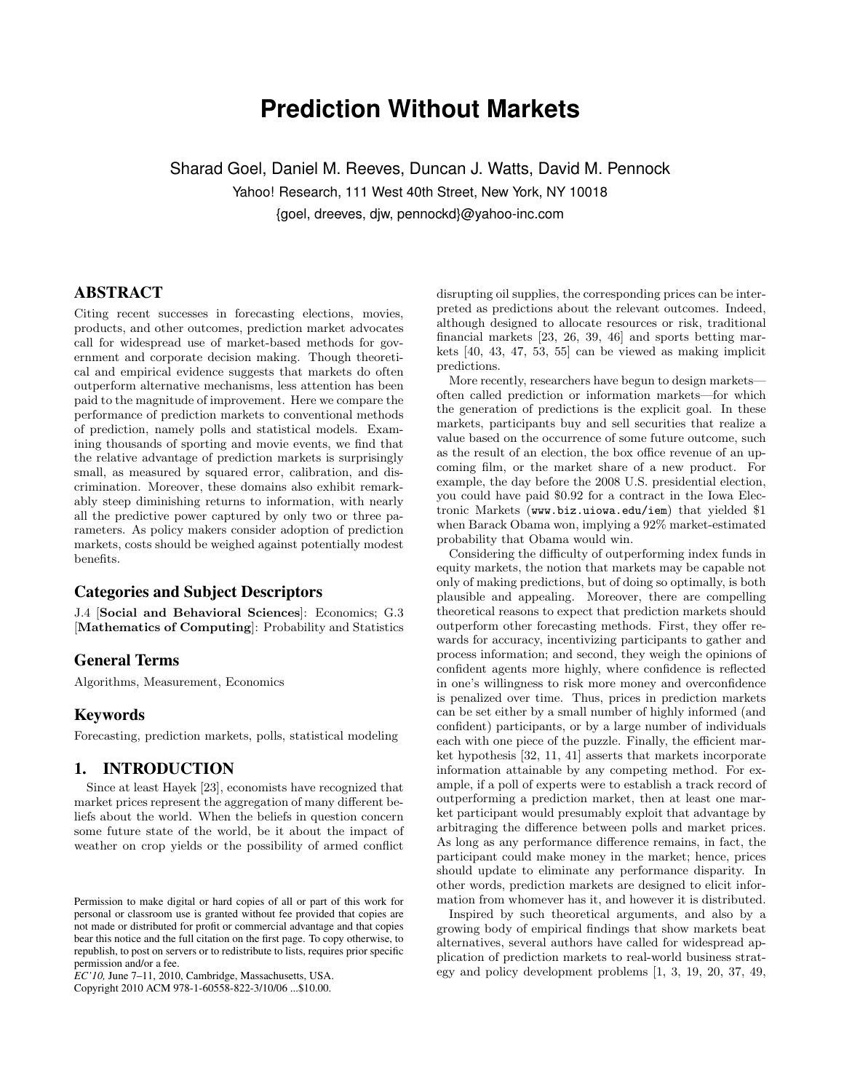# **Prediction Without Markets**

Sharad Goel, Daniel M. Reeves, Duncan J. Watts, David M. Pennock Yahoo! Research, 111 West 40th Street, New York, NY 10018 {goel, dreeves, djw, pennockd}@yahoo-inc.com

## ABSTRACT

Citing recent successes in forecasting elections, movies, products, and other outcomes, prediction market advocates call for widespread use of market-based methods for government and corporate decision making. Though theoretical and empirical evidence suggests that markets do often outperform alternative mechanisms, less attention has been paid to the magnitude of improvement. Here we compare the performance of prediction markets to conventional methods of prediction, namely polls and statistical models. Examining thousands of sporting and movie events, we find that the relative advantage of prediction markets is surprisingly small, as measured by squared error, calibration, and discrimination. Moreover, these domains also exhibit remarkably steep diminishing returns to information, with nearly all the predictive power captured by only two or three parameters. As policy makers consider adoption of prediction markets, costs should be weighed against potentially modest benefits.

## Categories and Subject Descriptors

J.4 [Social and Behavioral Sciences]: Economics; G.3 [Mathematics of Computing]: Probability and Statistics

## General Terms

Algorithms, Measurement, Economics

## **Keywords**

Forecasting, prediction markets, polls, statistical modeling

# 1. INTRODUCTION

Since at least Hayek [23], economists have recognized that market prices represent the aggregation of many different beliefs about the world. When the beliefs in question concern some future state of the world, be it about the impact of weather on crop yields or the possibility of armed conflict

Copyright 2010 ACM 978-1-60558-822-3/10/06 ...\$10.00.

disrupting oil supplies, the corresponding prices can be interpreted as predictions about the relevant outcomes. Indeed, although designed to allocate resources or risk, traditional financial markets [23, 26, 39, 46] and sports betting markets [40, 43, 47, 53, 55] can be viewed as making implicit predictions.

More recently, researchers have begun to design markets often called prediction or information markets—for which the generation of predictions is the explicit goal. In these markets, participants buy and sell securities that realize a value based on the occurrence of some future outcome, such as the result of an election, the box office revenue of an upcoming film, or the market share of a new product. For example, the day before the 2008 U.S. presidential election, you could have paid \$0.92 for a contract in the Iowa Electronic Markets (www.biz.uiowa.edu/iem) that yielded \$1 when Barack Obama won, implying a 92% market-estimated probability that Obama would win.

Considering the difficulty of outperforming index funds in equity markets, the notion that markets may be capable not only of making predictions, but of doing so optimally, is both plausible and appealing. Moreover, there are compelling theoretical reasons to expect that prediction markets should outperform other forecasting methods. First, they offer rewards for accuracy, incentivizing participants to gather and process information; and second, they weigh the opinions of confident agents more highly, where confidence is reflected in one's willingness to risk more money and overconfidence is penalized over time. Thus, prices in prediction markets can be set either by a small number of highly informed (and confident) participants, or by a large number of individuals each with one piece of the puzzle. Finally, the efficient market hypothesis [32, 11, 41] asserts that markets incorporate information attainable by any competing method. For example, if a poll of experts were to establish a track record of outperforming a prediction market, then at least one market participant would presumably exploit that advantage by arbitraging the difference between polls and market prices. As long as any performance difference remains, in fact, the participant could make money in the market; hence, prices should update to eliminate any performance disparity. In other words, prediction markets are designed to elicit information from whomever has it, and however it is distributed.

Inspired by such theoretical arguments, and also by a growing body of empirical findings that show markets beat alternatives, several authors have called for widespread application of prediction markets to real-world business strategy and policy development problems [1, 3, 19, 20, 37, 49,

Permission to make digital or hard copies of all or part of this work for personal or classroom use is granted without fee provided that copies are not made or distributed for profit or commercial advantage and that copies bear this notice and the full citation on the first page. To copy otherwise, to republish, to post on servers or to redistribute to lists, requires prior specific permission and/or a fee.

*EC'10,* June 7–11, 2010, Cambridge, Massachusetts, USA.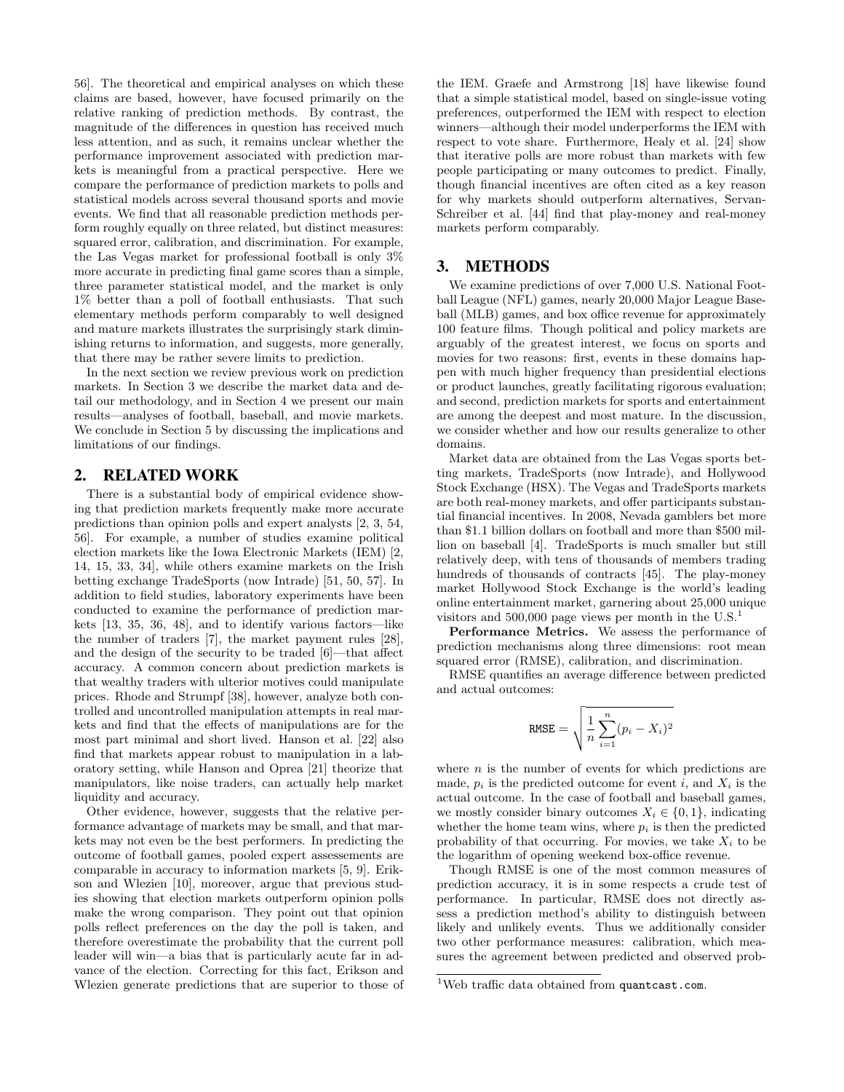56]. The theoretical and empirical analyses on which these claims are based, however, have focused primarily on the relative ranking of prediction methods. By contrast, the magnitude of the differences in question has received much less attention, and as such, it remains unclear whether the performance improvement associated with prediction markets is meaningful from a practical perspective. Here we compare the performance of prediction markets to polls and statistical models across several thousand sports and movie events. We find that all reasonable prediction methods perform roughly equally on three related, but distinct measures: squared error, calibration, and discrimination. For example, the Las Vegas market for professional football is only 3% more accurate in predicting final game scores than a simple, three parameter statistical model, and the market is only 1% better than a poll of football enthusiasts. That such elementary methods perform comparably to well designed and mature markets illustrates the surprisingly stark diminishing returns to information, and suggests, more generally, that there may be rather severe limits to prediction.

In the next section we review previous work on prediction markets. In Section 3 we describe the market data and detail our methodology, and in Section 4 we present our main results—analyses of football, baseball, and movie markets. We conclude in Section 5 by discussing the implications and limitations of our findings.

## 2. RELATED WORK

There is a substantial body of empirical evidence showing that prediction markets frequently make more accurate predictions than opinion polls and expert analysts [2, 3, 54, 56]. For example, a number of studies examine political election markets like the Iowa Electronic Markets (IEM) [2, 14, 15, 33, 34], while others examine markets on the Irish betting exchange TradeSports (now Intrade) [51, 50, 57]. In addition to field studies, laboratory experiments have been conducted to examine the performance of prediction markets [13, 35, 36, 48], and to identify various factors—like the number of traders [7], the market payment rules [28], and the design of the security to be traded [6]—that affect accuracy. A common concern about prediction markets is that wealthy traders with ulterior motives could manipulate prices. Rhode and Strumpf [38], however, analyze both controlled and uncontrolled manipulation attempts in real markets and find that the effects of manipulations are for the most part minimal and short lived. Hanson et al. [22] also find that markets appear robust to manipulation in a laboratory setting, while Hanson and Oprea [21] theorize that manipulators, like noise traders, can actually help market liquidity and accuracy.

Other evidence, however, suggests that the relative performance advantage of markets may be small, and that markets may not even be the best performers. In predicting the outcome of football games, pooled expert assessements are comparable in accuracy to information markets [5, 9]. Erikson and Wlezien [10], moreover, argue that previous studies showing that election markets outperform opinion polls make the wrong comparison. They point out that opinion polls reflect preferences on the day the poll is taken, and therefore overestimate the probability that the current poll leader will win—a bias that is particularly acute far in advance of the election. Correcting for this fact, Erikson and Wlezien generate predictions that are superior to those of the IEM. Graefe and Armstrong [18] have likewise found that a simple statistical model, based on single-issue voting preferences, outperformed the IEM with respect to election winners—although their model underperforms the IEM with respect to vote share. Furthermore, Healy et al. [24] show that iterative polls are more robust than markets with few people participating or many outcomes to predict. Finally, though financial incentives are often cited as a key reason for why markets should outperform alternatives, Servan-Schreiber et al. [44] find that play-money and real-money markets perform comparably.

## 3. METHODS

We examine predictions of over 7,000 U.S. National Football League (NFL) games, nearly 20,000 Major League Baseball (MLB) games, and box office revenue for approximately 100 feature films. Though political and policy markets are arguably of the greatest interest, we focus on sports and movies for two reasons: first, events in these domains happen with much higher frequency than presidential elections or product launches, greatly facilitating rigorous evaluation; and second, prediction markets for sports and entertainment are among the deepest and most mature. In the discussion, we consider whether and how our results generalize to other domains.

Market data are obtained from the Las Vegas sports betting markets, TradeSports (now Intrade), and Hollywood Stock Exchange (HSX). The Vegas and TradeSports markets are both real-money markets, and offer participants substantial financial incentives. In 2008, Nevada gamblers bet more than \$1.1 billion dollars on football and more than \$500 million on baseball [4]. TradeSports is much smaller but still relatively deep, with tens of thousands of members trading hundreds of thousands of contracts [45]. The play-money market Hollywood Stock Exchange is the world's leading online entertainment market, garnering about 25,000 unique visitors and 500,000 page views per month in the  $U.S.<sup>1</sup>$ 

Performance Metrics. We assess the performance of prediction mechanisms along three dimensions: root mean squared error (RMSE), calibration, and discrimination.

RMSE quantifies an average difference between predicted and actual outcomes:

$$
\texttt{RMSE} = \sqrt{\frac{1}{n}\sum_{i=1}^n (p_i - X_i)^2}
$$

where  $n$  is the number of events for which predictions are made,  $p_i$  is the predicted outcome for event i, and  $X_i$  is the actual outcome. In the case of football and baseball games, we mostly consider binary outcomes  $X_i \in \{0, 1\}$ , indicating whether the home team wins, where  $p_i$  is then the predicted probability of that occurring. For movies, we take  $X_i$  to be the logarithm of opening weekend box-office revenue.

Though RMSE is one of the most common measures of prediction accuracy, it is in some respects a crude test of performance. In particular, RMSE does not directly assess a prediction method's ability to distinguish between likely and unlikely events. Thus we additionally consider two other performance measures: calibration, which measures the agreement between predicted and observed prob-

<sup>&</sup>lt;sup>1</sup>Web traffic data obtained from quantcast.com.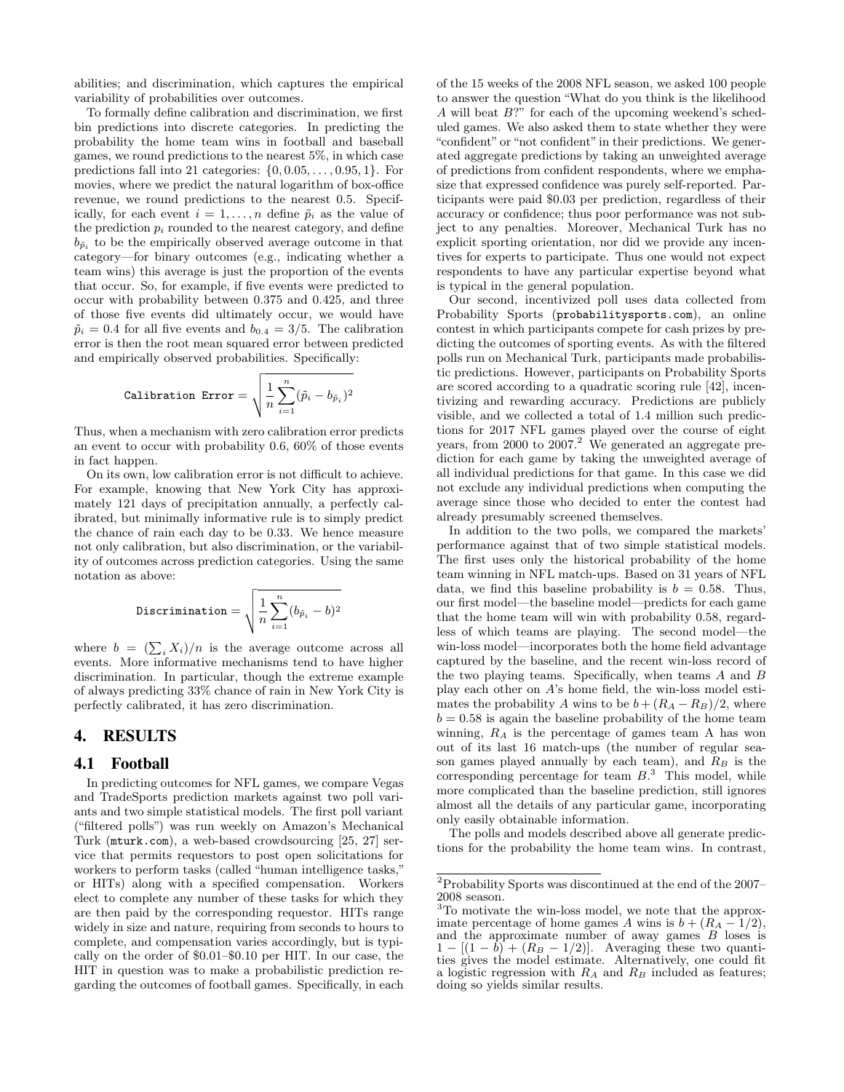abilities; and discrimination, which captures the empirical variability of probabilities over outcomes.

To formally define calibration and discrimination, we first bin predictions into discrete categories. In predicting the probability the home team wins in football and baseball games, we round predictions to the nearest 5%, in which case predictions fall into 21 categories:  $\{0, 0.05, \ldots, 0.95, 1\}$ . For movies, where we predict the natural logarithm of box-office revenue, we round predictions to the nearest 0.5. Specifically, for each event  $i = 1, \ldots, n$  define  $\tilde{p}_i$  as the value of the prediction  $p_i$  rounded to the nearest category, and define  $b_{\tilde{p}_i}$  to be the empirically observed average outcome in that category—for binary outcomes (e.g., indicating whether a team wins) this average is just the proportion of the events that occur. So, for example, if five events were predicted to occur with probability between 0.375 and 0.425, and three of those five events did ultimately occur, we would have  $\tilde{p}_i = 0.4$  for all five events and  $b_{0.4} = 3/5$ . The calibration error is then the root mean squared error between predicted and empirically observed probabilities. Specifically:

$$
\text{Calibration Error} = \sqrt{\frac{1}{n}\sum_{i=1}^n (\widetilde{p}_i - b_{\widetilde{p}_i})^2}
$$

Thus, when a mechanism with zero calibration error predicts an event to occur with probability 0.6, 60% of those events in fact happen.

On its own, low calibration error is not difficult to achieve. For example, knowing that New York City has approximately 121 days of precipitation annually, a perfectly calibrated, but minimally informative rule is to simply predict the chance of rain each day to be 0.33. We hence measure not only calibration, but also discrimination, or the variability of outcomes across prediction categories. Using the same notation as above:

$$
\text{Discrimination} = \sqrt{\frac{1}{n}\sum_{i=1}^n (b_{\tilde{p}_i} - b)^2}
$$

where  $b = (\sum_i X_i)/n$  is the average outcome across all events. More informative mechanisms tend to have higher discrimination. In particular, though the extreme example of always predicting 33% chance of rain in New York City is perfectly calibrated, it has zero discrimination.

## 4. RESULTS

#### 4.1 Football

In predicting outcomes for NFL games, we compare Vegas and TradeSports prediction markets against two poll variants and two simple statistical models. The first poll variant ("filtered polls") was run weekly on Amazon's Mechanical Turk (mturk.com), a web-based crowdsourcing [25, 27] service that permits requestors to post open solicitations for workers to perform tasks (called "human intelligence tasks," or HITs) along with a specified compensation. Workers elect to complete any number of these tasks for which they are then paid by the corresponding requestor. HITs range widely in size and nature, requiring from seconds to hours to complete, and compensation varies accordingly, but is typically on the order of \$0.01–\$0.10 per HIT. In our case, the HIT in question was to make a probabilistic prediction regarding the outcomes of football games. Specifically, in each of the 15 weeks of the 2008 NFL season, we asked 100 people to answer the question "What do you think is the likelihood A will beat B?" for each of the upcoming weekend's scheduled games. We also asked them to state whether they were "confident" or "not confident"in their predictions. We generated aggregate predictions by taking an unweighted average of predictions from confident respondents, where we emphasize that expressed confidence was purely self-reported. Participants were paid \$0.03 per prediction, regardless of their accuracy or confidence; thus poor performance was not subject to any penalties. Moreover, Mechanical Turk has no explicit sporting orientation, nor did we provide any incentives for experts to participate. Thus one would not expect respondents to have any particular expertise beyond what is typical in the general population.

Our second, incentivized poll uses data collected from Probability Sports (probabilitysports.com), an online contest in which participants compete for cash prizes by predicting the outcomes of sporting events. As with the filtered polls run on Mechanical Turk, participants made probabilistic predictions. However, participants on Probability Sports are scored according to a quadratic scoring rule [42], incentivizing and rewarding accuracy. Predictions are publicly visible, and we collected a total of 1.4 million such predictions for 2017 NFL games played over the course of eight years, from 2000 to  $2007.<sup>2</sup>$  We generated an aggregate prediction for each game by taking the unweighted average of all individual predictions for that game. In this case we did not exclude any individual predictions when computing the average since those who decided to enter the contest had already presumably screened themselves.

In addition to the two polls, we compared the markets' performance against that of two simple statistical models. The first uses only the historical probability of the home team winning in NFL match-ups. Based on 31 years of NFL data, we find this baseline probability is  $b = 0.58$ . Thus, our first model—the baseline model—predicts for each game that the home team will win with probability 0.58, regardless of which teams are playing. The second model—the win-loss model—incorporates both the home field advantage captured by the baseline, and the recent win-loss record of the two playing teams. Specifically, when teams A and B play each other on A's home field, the win-loss model estimates the probability A wins to be  $b + (R_A - R_B)/2$ , where  $b = 0.58$  is again the baseline probability of the home team winning,  $R_A$  is the percentage of games team A has won out of its last 16 match-ups (the number of regular season games played annually by each team), and  $R_B$  is the corresponding percentage for team  $B$ <sup>3</sup>. This model, while more complicated than the baseline prediction, still ignores almost all the details of any particular game, incorporating only easily obtainable information.

The polls and models described above all generate predictions for the probability the home team wins. In contrast,

<sup>2</sup>Probability Sports was discontinued at the end of the 2007– 2008 season.

<sup>3</sup>To motivate the win-loss model, we note that the approximate percentage of home games A wins is  $b + (R_A - 1/2)$ , and the approximate number of away games  $B$  loses is  $1 - [(1 - b) + (R_B - 1/2)].$  Averaging these two quantities gives the model estimate. Alternatively, one could fit a logistic regression with  $R_A$  and  $R_B$  included as features; doing so yields similar results.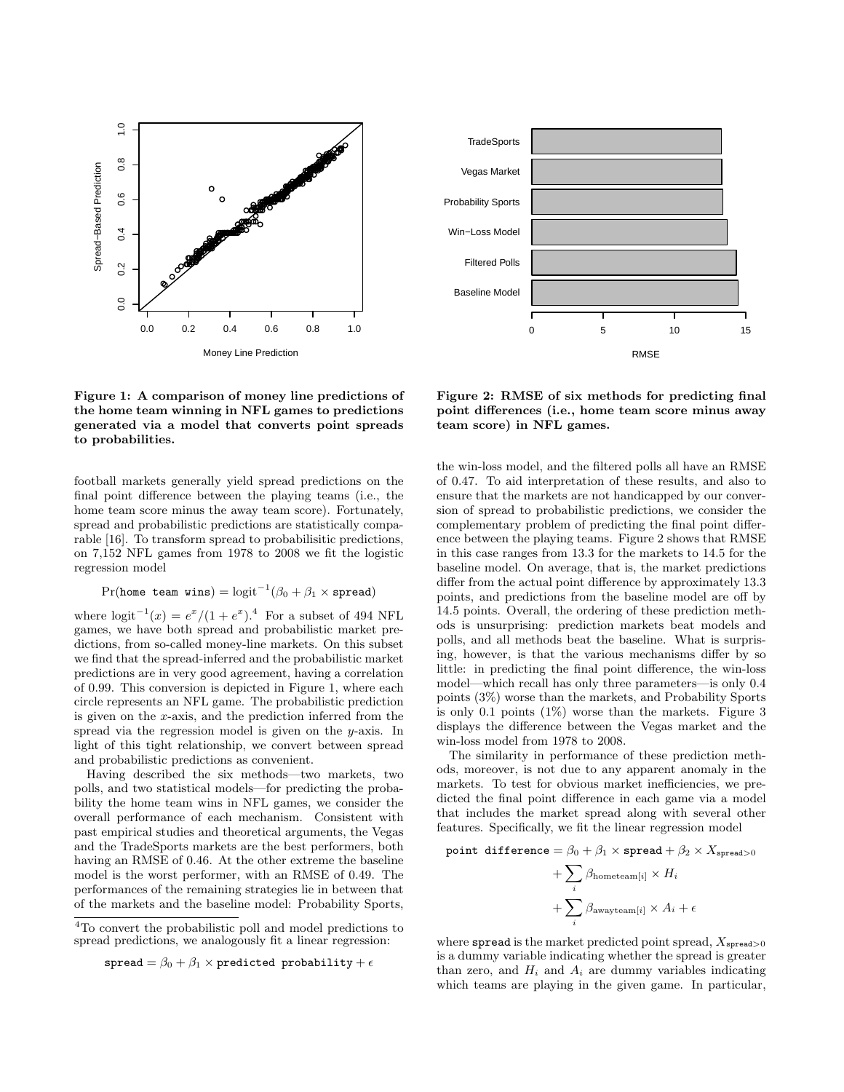

Figure 1: A comparison of money line predictions of the home team winning in NFL games to predictions generated via a model that converts point spreads to probabilities.

football markets generally yield spread predictions on the final point difference between the playing teams (i.e., the home team score minus the away team score). Fortunately, spread and probabilistic predictions are statistically comparable [16]. To transform spread to probabilisitic predictions, on 7,152 NFL games from 1978 to 2008 we fit the logistic regression model

$$
\Pr(\texttt{home team wins}) = \text{logit}^{-1}(\beta_0 + \beta_1 \times \texttt{spread})
$$

where  $\text{logit}^{-1}(x) = e^x/(1+e^x).^4$  For a subset of 494 NFL games, we have both spread and probabilistic market predictions, from so-called money-line markets. On this subset we find that the spread-inferred and the probabilistic market predictions are in very good agreement, having a correlation of 0.99. This conversion is depicted in Figure 1, where each circle represents an NFL game. The probabilistic prediction is given on the  $x$ -axis, and the prediction inferred from the spread via the regression model is given on the  $y$ -axis. In light of this tight relationship, we convert between spread and probabilistic predictions as convenient.

Having described the six methods—two markets, two polls, and two statistical models—for predicting the probability the home team wins in NFL games, we consider the overall performance of each mechanism. Consistent with past empirical studies and theoretical arguments, the Vegas and the TradeSports markets are the best performers, both having an RMSE of 0.46. At the other extreme the baseline model is the worst performer, with an RMSE of 0.49. The performances of the remaining strategies lie in between that of the markets and the baseline model: Probability Sports,

$$
\texttt{spread} = \beta_0 + \beta_1 \times \texttt{predicted probability} + \epsilon
$$



Figure 2: RMSE of six methods for predicting final point differences (i.e., home team score minus away team score) in NFL games.

the win-loss model, and the filtered polls all have an RMSE of 0.47. To aid interpretation of these results, and also to ensure that the markets are not handicapped by our conversion of spread to probabilistic predictions, we consider the complementary problem of predicting the final point difference between the playing teams. Figure 2 shows that RMSE in this case ranges from 13.3 for the markets to 14.5 for the baseline model. On average, that is, the market predictions differ from the actual point difference by approximately 13.3 points, and predictions from the baseline model are off by 14.5 points. Overall, the ordering of these prediction methods is unsurprising: prediction markets beat models and polls, and all methods beat the baseline. What is surprising, however, is that the various mechanisms differ by so little: in predicting the final point difference, the win-loss model—which recall has only three parameters—is only 0.4 points (3%) worse than the markets, and Probability Sports is only 0.1 points  $(1\%)$  worse than the markets. Figure 3 displays the difference between the Vegas market and the win-loss model from 1978 to 2008.

The similarity in performance of these prediction methods, moreover, is not due to any apparent anomaly in the markets. To test for obvious market inefficiencies, we predicted the final point difference in each game via a model that includes the market spread along with several other features. Specifically, we fit the linear regression model

point difference = 
$$
\beta_0 + \beta_1 \times
$$
 spread +  $\beta_2 \times X_{\text{spread}>0}$ 

+ 
$$
\sum_{i}
$$
  $\beta_{\text{hometeam}[i]} \times H_i$   
+  $\sum_{i}$   $\beta_{\text{awayteam}[i]} \times A_i + \epsilon$ 

where spread is the market predicted point spread,  $X_{\text{spread}>0}$ is a dummy variable indicating whether the spread is greater than zero, and  $H_i$  and  $A_i$  are dummy variables indicating which teams are playing in the given game. In particular,

<sup>4</sup>To convert the probabilistic poll and model predictions to spread predictions, we analogously fit a linear regression: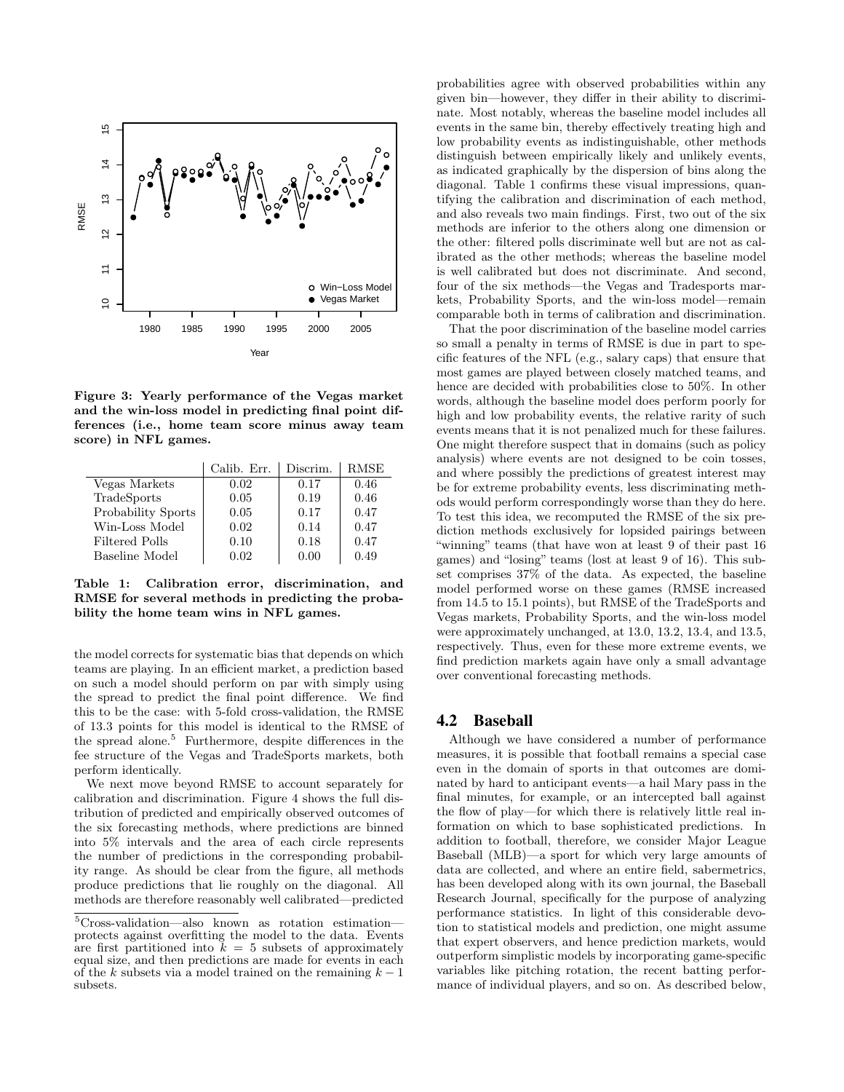

Figure 3: Yearly performance of the Vegas market and the win-loss model in predicting final point differences (i.e., home team score minus away team score) in NFL games.

|                    | Calib. Err. | Discrim. | RMSE |
|--------------------|-------------|----------|------|
| Vegas Markets      | 0.02        | 0.17     | 0.46 |
| TradeSports        | 0.05        | 0.19     | 0.46 |
| Probability Sports | 0.05        | 0.17     | 0.47 |
| Win-Loss Model     | 0.02        | 0.14     | 0.47 |
| Filtered Polls     | 0.10        | 0.18     | 0.47 |
| Baseline Model     | 0.02        | 0.00     | 0.49 |

Table 1: Calibration error, discrimination, and RMSE for several methods in predicting the probability the home team wins in NFL games.

the model corrects for systematic bias that depends on which teams are playing. In an efficient market, a prediction based on such a model should perform on par with simply using the spread to predict the final point difference. We find this to be the case: with 5-fold cross-validation, the RMSE of 13.3 points for this model is identical to the RMSE of the spread alone.<sup>5</sup> Furthermore, despite differences in the fee structure of the Vegas and TradeSports markets, both perform identically.

We next move beyond RMSE to account separately for calibration and discrimination. Figure 4 shows the full distribution of predicted and empirically observed outcomes of the six forecasting methods, where predictions are binned into 5% intervals and the area of each circle represents the number of predictions in the corresponding probability range. As should be clear from the figure, all methods produce predictions that lie roughly on the diagonal. All methods are therefore reasonably well calibrated—predicted

probabilities agree with observed probabilities within any given bin—however, they differ in their ability to discriminate. Most notably, whereas the baseline model includes all events in the same bin, thereby effectively treating high and low probability events as indistinguishable, other methods distinguish between empirically likely and unlikely events, as indicated graphically by the dispersion of bins along the diagonal. Table 1 confirms these visual impressions, quantifying the calibration and discrimination of each method, and also reveals two main findings. First, two out of the six methods are inferior to the others along one dimension or the other: filtered polls discriminate well but are not as calibrated as the other methods; whereas the baseline model is well calibrated but does not discriminate. And second, four of the six methods—the Vegas and Tradesports markets, Probability Sports, and the win-loss model—remain comparable both in terms of calibration and discrimination.

That the poor discrimination of the baseline model carries so small a penalty in terms of RMSE is due in part to specific features of the NFL (e.g., salary caps) that ensure that most games are played between closely matched teams, and hence are decided with probabilities close to 50%. In other words, although the baseline model does perform poorly for high and low probability events, the relative rarity of such events means that it is not penalized much for these failures. One might therefore suspect that in domains (such as policy analysis) where events are not designed to be coin tosses, and where possibly the predictions of greatest interest may be for extreme probability events, less discriminating methods would perform correspondingly worse than they do here. To test this idea, we recomputed the RMSE of the six prediction methods exclusively for lopsided pairings between "winning" teams (that have won at least 9 of their past 16 games) and "losing" teams (lost at least 9 of 16). This subset comprises 37% of the data. As expected, the baseline model performed worse on these games (RMSE increased from 14.5 to 15.1 points), but RMSE of the TradeSports and Vegas markets, Probability Sports, and the win-loss model were approximately unchanged, at 13.0, 13.2, 13.4, and 13.5, respectively. Thus, even for these more extreme events, we find prediction markets again have only a small advantage over conventional forecasting methods.

## 4.2 Baseball

Although we have considered a number of performance measures, it is possible that football remains a special case even in the domain of sports in that outcomes are dominated by hard to anticipant events—a hail Mary pass in the final minutes, for example, or an intercepted ball against the flow of play—for which there is relatively little real information on which to base sophisticated predictions. In addition to football, therefore, we consider Major League Baseball (MLB)—a sport for which very large amounts of data are collected, and where an entire field, sabermetrics, has been developed along with its own journal, the Baseball Research Journal, specifically for the purpose of analyzing performance statistics. In light of this considerable devotion to statistical models and prediction, one might assume that expert observers, and hence prediction markets, would outperform simplistic models by incorporating game-specific variables like pitching rotation, the recent batting performance of individual players, and so on. As described below,

<sup>5</sup>Cross-validation—also known as rotation estimation protects against overfitting the model to the data. Events are first partitioned into  $k = 5$  subsets of approximately equal size, and then predictions are made for events in each of the k subsets via a model trained on the remaining  $k-1$ subsets.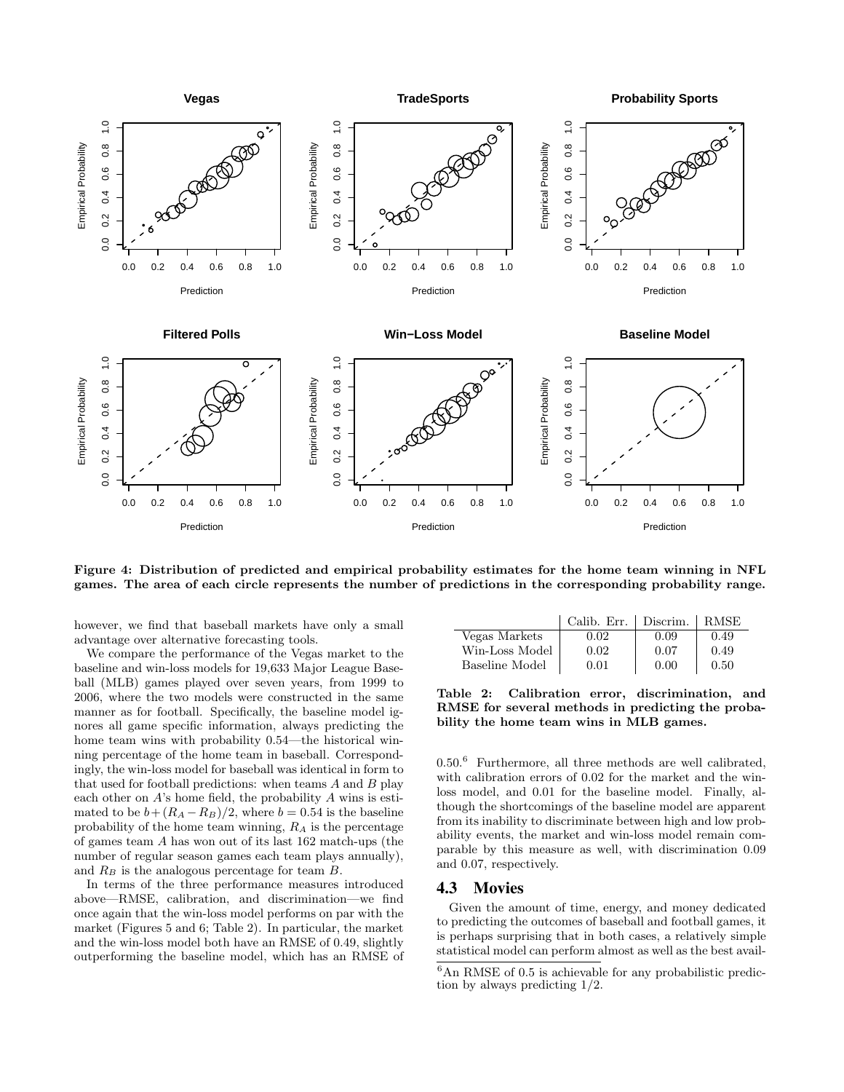

Figure 4: Distribution of predicted and empirical probability estimates for the home team winning in NFL games. The area of each circle represents the number of predictions in the corresponding probability range.

however, we find that baseball markets have only a small advantage over alternative forecasting tools.

We compare the performance of the Vegas market to the baseline and win-loss models for 19,633 Major League Baseball (MLB) games played over seven years, from 1999 to 2006, where the two models were constructed in the same manner as for football. Specifically, the baseline model ignores all game specific information, always predicting the home team wins with probability 0.54—the historical winning percentage of the home team in baseball. Correspondingly, the win-loss model for baseball was identical in form to that used for football predictions: when teams  $A$  and  $B$  play each other on  $A$ 's home field, the probability  $A$  wins is estimated to be  $b + (R_A - R_B)/2$ , where  $b = 0.54$  is the baseline probability of the home team winning,  $R_A$  is the percentage of games team A has won out of its last 162 match-ups (the number of regular season games each team plays annually), and  $R_B$  is the analogous percentage for team  $B$ .

In terms of the three performance measures introduced above—RMSE, calibration, and discrimination—we find once again that the win-loss model performs on par with the market (Figures 5 and 6; Table 2). In particular, the market and the win-loss model both have an RMSE of 0.49, slightly outperforming the baseline model, which has an RMSE of

|                | Calib. Err. | Discrim. | <b>RMSE</b> |
|----------------|-------------|----------|-------------|
| Vegas Markets  | 0.02        | 0.09     | 0.49        |
| Win-Loss Model | 0.02        | 0.07     | 0.49        |
| Baseline Model | 0.01        | 0.00     | 0.50        |

Table 2: Calibration error, discrimination, and RMSE for several methods in predicting the probability the home team wins in MLB games.

0.50.<sup>6</sup> Furthermore, all three methods are well calibrated, with calibration errors of 0.02 for the market and the winloss model, and 0.01 for the baseline model. Finally, although the shortcomings of the baseline model are apparent from its inability to discriminate between high and low probability events, the market and win-loss model remain comparable by this measure as well, with discrimination 0.09 and 0.07, respectively.

## 4.3 Movies

Given the amount of time, energy, and money dedicated to predicting the outcomes of baseball and football games, it is perhaps surprising that in both cases, a relatively simple statistical model can perform almost as well as the best avail-

 ${}^{6}$ An RMSE of 0.5 is achievable for any probabilistic prediction by always predicting 1/2.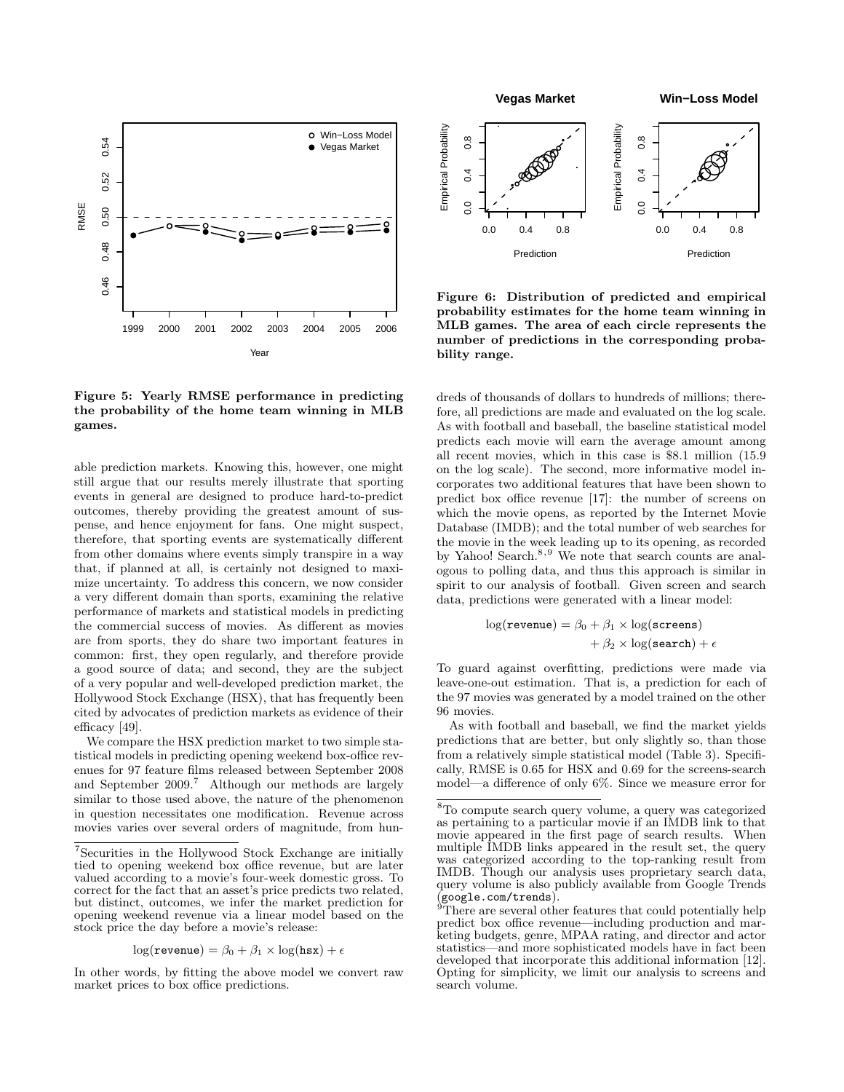

Figure 5: Yearly RMSE performance in predicting the probability of the home team winning in MLB games.

able prediction markets. Knowing this, however, one might still argue that our results merely illustrate that sporting events in general are designed to produce hard-to-predict outcomes, thereby providing the greatest amount of suspense, and hence enjoyment for fans. One might suspect, therefore, that sporting events are systematically different from other domains where events simply transpire in a way that, if planned at all, is certainly not designed to maximize uncertainty. To address this concern, we now consider a very different domain than sports, examining the relative performance of markets and statistical models in predicting the commercial success of movies. As different as movies are from sports, they do share two important features in common: first, they open regularly, and therefore provide a good source of data; and second, they are the subject of a very popular and well-developed prediction market, the Hollywood Stock Exchange (HSX), that has frequently been cited by advocates of prediction markets as evidence of their efficacy [49].

We compare the HSX prediction market to two simple statistical models in predicting opening weekend box-office revenues for 97 feature films released between September 2008 and September 2009.<sup>7</sup> Although our methods are largely similar to those used above, the nature of the phenomenon in question necessitates one modification. Revenue across movies varies over several orders of magnitude, from hun-

$$
\log(\texttt{revenue}) = \beta_0 + \beta_1 \times \log(\texttt{hsx}) + \epsilon
$$

In other words, by fitting the above model we convert raw market prices to box office predictions.



Figure 6: Distribution of predicted and empirical probability estimates for the home team winning in MLB games. The area of each circle represents the number of predictions in the corresponding probability range.

dreds of thousands of dollars to hundreds of millions; therefore, all predictions are made and evaluated on the log scale. As with football and baseball, the baseline statistical model predicts each movie will earn the average amount among all recent movies, which in this case is \$8.1 million (15.9 on the log scale). The second, more informative model incorporates two additional features that have been shown to predict box office revenue [17]: the number of screens on which the movie opens, as reported by the Internet Movie Database (IMDB); and the total number of web searches for the movie in the week leading up to its opening, as recorded by Yahoo! Search.<sup>8,9</sup> We note that search counts are analogous to polling data, and thus this approach is similar in spirit to our analysis of football. Given screen and search data, predictions were generated with a linear model:

$$
log(\texttt{revenue}) = \beta_0 + \beta_1 \times log(\texttt{screens}) + \beta_2 \times log(\texttt{search}) + \epsilon
$$

To guard against overfitting, predictions were made via leave-one-out estimation. That is, a prediction for each of the 97 movies was generated by a model trained on the other 96 movies.

As with football and baseball, we find the market yields predictions that are better, but only slightly so, than those from a relatively simple statistical model (Table 3). Specifically, RMSE is 0.65 for HSX and 0.69 for the screens-search model—a difference of only 6%. Since we measure error for

<sup>&</sup>lt;sup>7</sup>Securities in the Hollywood Stock Exchange are initially tied to opening weekend box office revenue, but are later valued according to a movie's four-week domestic gross. To correct for the fact that an asset's price predicts two related, but distinct, outcomes, we infer the market prediction for opening weekend revenue via a linear model based on the stock price the day before a movie's release:

 ${}^{8}{\rm To}$  compute search query volume, a query was categorized as pertaining to a particular movie if an IMDB link to that movie appeared in the first page of search results. When multiple IMDB links appeared in the result set, the query was categorized according to the top-ranking result from IMDB. Though our analysis uses proprietary search data, query volume is also publicly available from Google Trends (google.com/trends).

There are several other features that could potentially help predict box office revenue—including production and marketing budgets, genre, MPAA rating, and director and actor statistics—and more sophisticated models have in fact been developed that incorporate this additional information [12]. Opting for simplicity, we limit our analysis to screens and search volume.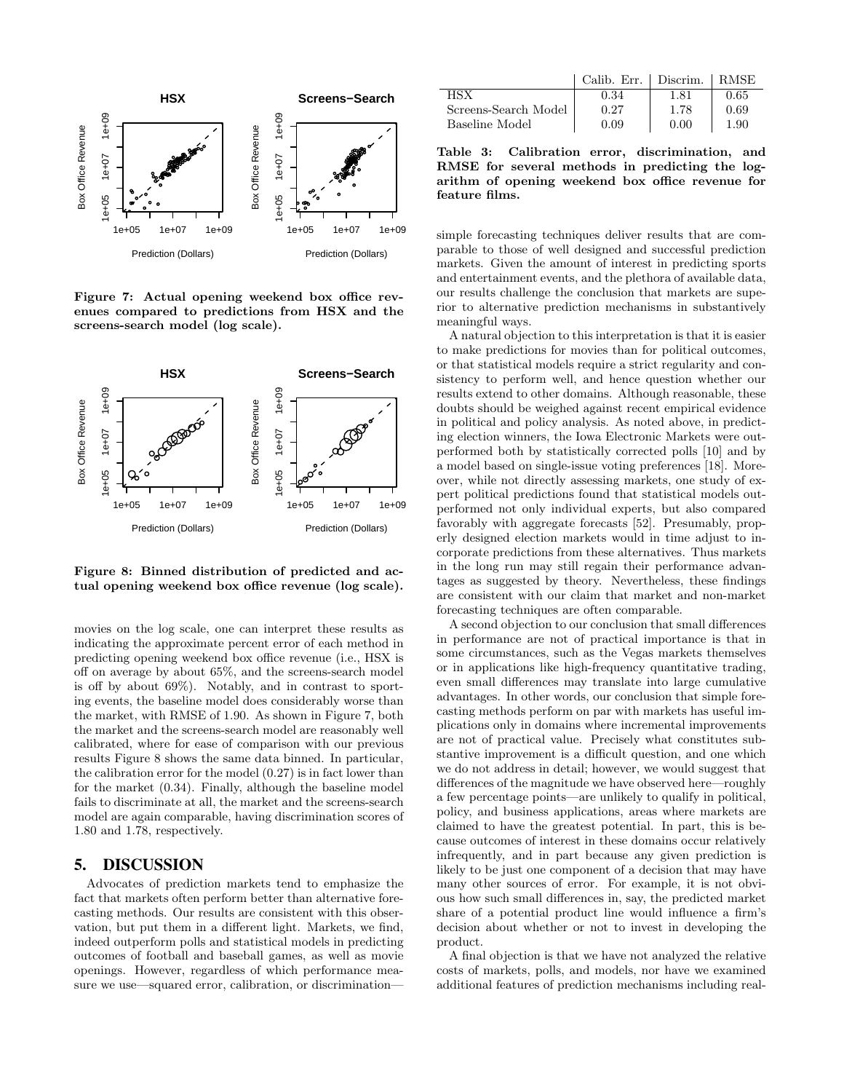

Figure 7: Actual opening weekend box office revenues compared to predictions from HSX and the screens-search model (log scale).



Figure 8: Binned distribution of predicted and actual opening weekend box office revenue (log scale).

movies on the log scale, one can interpret these results as indicating the approximate percent error of each method in predicting opening weekend box office revenue (i.e., HSX is off on average by about 65%, and the screens-search model is off by about 69%). Notably, and in contrast to sporting events, the baseline model does considerably worse than the market, with RMSE of 1.90. As shown in Figure 7, both the market and the screens-search model are reasonably well calibrated, where for ease of comparison with our previous results Figure 8 shows the same data binned. In particular, the calibration error for the model (0.27) is in fact lower than for the market (0.34). Finally, although the baseline model fails to discriminate at all, the market and the screens-search model are again comparable, having discrimination scores of 1.80 and 1.78, respectively.

## 5. DISCUSSION

Advocates of prediction markets tend to emphasize the fact that markets often perform better than alternative forecasting methods. Our results are consistent with this observation, but put them in a different light. Markets, we find, indeed outperform polls and statistical models in predicting outcomes of football and baseball games, as well as movie openings. However, regardless of which performance measure we use—squared error, calibration, or discrimination—

|                      | Calib. Err. | Discrim. | <b>RMSE</b> |
|----------------------|-------------|----------|-------------|
| нsх                  | 0.34        | 1.81     | 0.65        |
| Screens-Search Model | 0.27        | 1.78     | 0.69        |
| Baseline Model       | 0.09        | 0. UU    | 1.90        |

Table 3: Calibration error, discrimination, and RMSE for several methods in predicting the logarithm of opening weekend box office revenue for feature films.

simple forecasting techniques deliver results that are comparable to those of well designed and successful prediction markets. Given the amount of interest in predicting sports and entertainment events, and the plethora of available data, our results challenge the conclusion that markets are superior to alternative prediction mechanisms in substantively meaningful ways.

A natural objection to this interpretation is that it is easier to make predictions for movies than for political outcomes, or that statistical models require a strict regularity and consistency to perform well, and hence question whether our results extend to other domains. Although reasonable, these doubts should be weighed against recent empirical evidence in political and policy analysis. As noted above, in predicting election winners, the Iowa Electronic Markets were outperformed both by statistically corrected polls [10] and by a model based on single-issue voting preferences [18]. Moreover, while not directly assessing markets, one study of expert political predictions found that statistical models outperformed not only individual experts, but also compared favorably with aggregate forecasts [52]. Presumably, properly designed election markets would in time adjust to incorporate predictions from these alternatives. Thus markets in the long run may still regain their performance advantages as suggested by theory. Nevertheless, these findings are consistent with our claim that market and non-market forecasting techniques are often comparable.

A second objection to our conclusion that small differences in performance are not of practical importance is that in some circumstances, such as the Vegas markets themselves or in applications like high-frequency quantitative trading, even small differences may translate into large cumulative advantages. In other words, our conclusion that simple forecasting methods perform on par with markets has useful implications only in domains where incremental improvements are not of practical value. Precisely what constitutes substantive improvement is a difficult question, and one which we do not address in detail; however, we would suggest that differences of the magnitude we have observed here—roughly a few percentage points—are unlikely to qualify in political, policy, and business applications, areas where markets are claimed to have the greatest potential. In part, this is because outcomes of interest in these domains occur relatively infrequently, and in part because any given prediction is likely to be just one component of a decision that may have many other sources of error. For example, it is not obvious how such small differences in, say, the predicted market share of a potential product line would influence a firm's decision about whether or not to invest in developing the product.

A final objection is that we have not analyzed the relative costs of markets, polls, and models, nor have we examined additional features of prediction mechanisms including real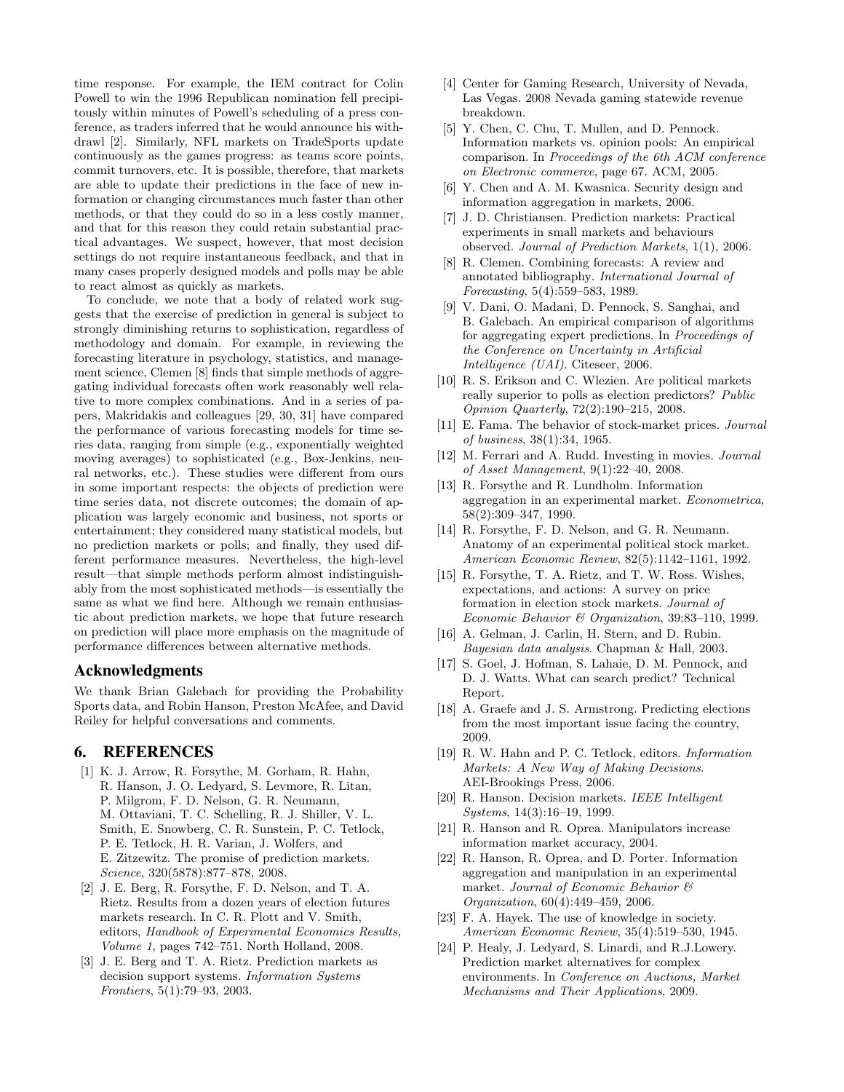time response. For example, the IEM contract for Colin Powell to win the 1996 Republican nomination fell precipitously within minutes of Powell's scheduling of a press conference, as traders inferred that he would announce his withdrawl [2]. Similarly, NFL markets on TradeSports update continuously as the games progress: as teams score points, commit turnovers, etc. It is possible, therefore, that markets are able to update their predictions in the face of new information or changing circumstances much faster than other methods, or that they could do so in a less costly manner, and that for this reason they could retain substantial practical advantages. We suspect, however, that most decision settings do not require instantaneous feedback, and that in many cases properly designed models and polls may be able to react almost as quickly as markets.

To conclude, we note that a body of related work suggests that the exercise of prediction in general is subject to strongly diminishing returns to sophistication, regardless of methodology and domain. For example, in reviewing the forecasting literature in psychology, statistics, and management science, Clemen [8] finds that simple methods of aggregating individual forecasts often work reasonably well relative to more complex combinations. And in a series of papers, Makridakis and colleagues [29, 30, 31] have compared the performance of various forecasting models for time series data, ranging from simple (e.g., exponentially weighted moving averages) to sophisticated (e.g., Box-Jenkins, neural networks, etc.). These studies were different from ours in some important respects: the objects of prediction were time series data, not discrete outcomes; the domain of application was largely economic and business, not sports or entertainment; they considered many statistical models, but no prediction markets or polls; and finally, they used different performance measures. Nevertheless, the high-level result—that simple methods perform almost indistinguishably from the most sophisticated methods—is essentially the same as what we find here. Although we remain enthusiastic about prediction markets, we hope that future research on prediction will place more emphasis on the magnitude of performance differences between alternative methods.

#### Acknowledgments

We thank Brian Galebach for providing the Probability Sports data, and Robin Hanson, Preston McAfee, and David Reiley for helpful conversations and comments.

## 6. REFERENCES

- [1] K. J. Arrow, R. Forsythe, M. Gorham, R. Hahn, R. Hanson, J. O. Ledyard, S. Levmore, R. Litan, P. Milgrom, F. D. Nelson, G. R. Neumann, M. Ottaviani, T. C. Schelling, R. J. Shiller, V. L. Smith, E. Snowberg, C. R. Sunstein, P. C. Tetlock, P. E. Tetlock, H. R. Varian, J. Wolfers, and E. Zitzewitz. The promise of prediction markets. Science, 320(5878):877–878, 2008.
- [2] J. E. Berg, R. Forsythe, F. D. Nelson, and T. A. Rietz. Results from a dozen years of election futures markets research. In C. R. Plott and V. Smith, editors, Handbook of Experimental Economics Results, Volume 1, pages 742–751. North Holland, 2008.
- [3] J. E. Berg and T. A. Rietz. Prediction markets as decision support systems. Information Systems Frontiers, 5(1):79–93, 2003.
- [4] Center for Gaming Research, University of Nevada, Las Vegas. 2008 Nevada gaming statewide revenue breakdown.
- [5] Y. Chen, C. Chu, T. Mullen, and D. Pennock. Information markets vs. opinion pools: An empirical comparison. In Proceedings of the 6th ACM conference on Electronic commerce, page 67. ACM, 2005.
- [6] Y. Chen and A. M. Kwasnica. Security design and information aggregation in markets, 2006.
- [7] J. D. Christiansen. Prediction markets: Practical experiments in small markets and behaviours observed. Journal of Prediction Markets, 1(1), 2006.
- [8] R. Clemen. Combining forecasts: A review and annotated bibliography. International Journal of Forecasting, 5(4):559–583, 1989.
- [9] V. Dani, O. Madani, D. Pennock, S. Sanghai, and B. Galebach. An empirical comparison of algorithms for aggregating expert predictions. In Proceedings of the Conference on Uncertainty in Artificial Intelligence (UAI). Citeseer, 2006.
- [10] R. S. Erikson and C. Wlezien. Are political markets really superior to polls as election predictors? Public Opinion Quarterly, 72(2):190–215, 2008.
- [11] E. Fama. The behavior of stock-market prices. Journal of business, 38(1):34, 1965.
- [12] M. Ferrari and A. Rudd. Investing in movies. Journal of Asset Management, 9(1):22–40, 2008.
- [13] R. Forsythe and R. Lundholm. Information aggregation in an experimental market. Econometrica, 58(2):309–347, 1990.
- [14] R. Forsythe, F. D. Nelson, and G. R. Neumann. Anatomy of an experimental political stock market. American Economic Review, 82(5):1142–1161, 1992.
- [15] R. Forsythe, T. A. Rietz, and T. W. Ross. Wishes, expectations, and actions: A survey on price formation in election stock markets. Journal of Economic Behavior & Organization, 39:83–110, 1999.
- [16] A. Gelman, J. Carlin, H. Stern, and D. Rubin. Bayesian data analysis. Chapman & Hall, 2003.
- [17] S. Goel, J. Hofman, S. Lahaie, D. M. Pennock, and D. J. Watts. What can search predict? Technical Report.
- [18] A. Graefe and J. S. Armstrong. Predicting elections from the most important issue facing the country, 2009.
- [19] R. W. Hahn and P. C. Tetlock, editors. Information Markets: A New Way of Making Decisions. AEI-Brookings Press, 2006.
- [20] R. Hanson. Decision markets. IEEE Intelligent Systems, 14(3):16–19, 1999.
- [21] R. Hanson and R. Oprea. Manipulators increase information market accuracy, 2004.
- [22] R. Hanson, R. Oprea, and D. Porter. Information aggregation and manipulation in an experimental market. Journal of Economic Behavior & Organization, 60(4):449–459, 2006.
- [23] F. A. Hayek. The use of knowledge in society. American Economic Review, 35(4):519–530, 1945.
- [24] P. Healy, J. Ledyard, S. Linardi, and R.J.Lowery. Prediction market alternatives for complex environments. In Conference on Auctions, Market Mechanisms and Their Applications, 2009.